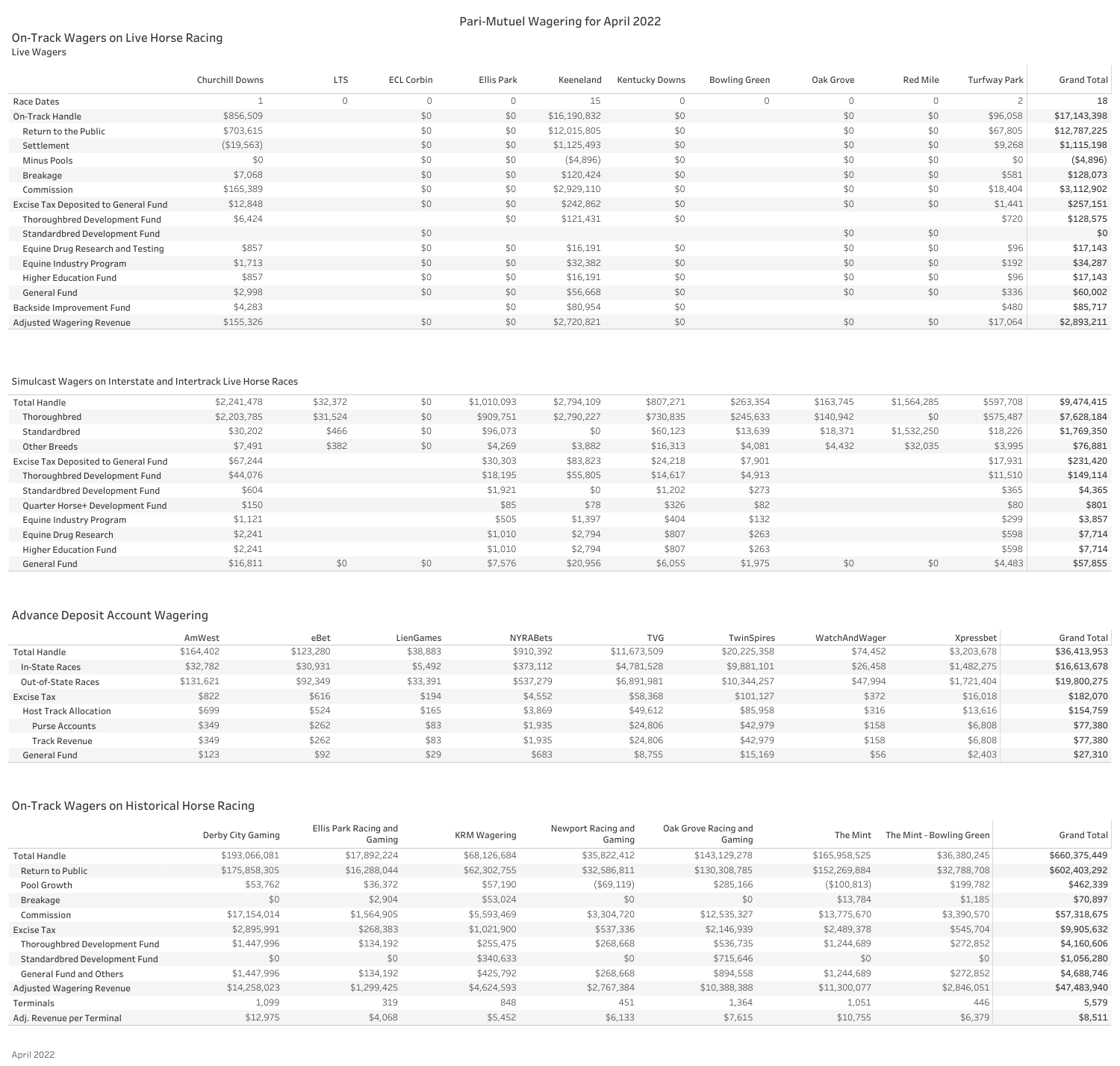## On-Track Wagers on Live Horse Racing Live Wagers

## Pari-Mutuel Wagering for April 2022

| <b>Red Mile</b> | <b>Turfway Park</b> | <b>Grand Total</b> |
|-----------------|---------------------|--------------------|
| 0               | $\overline{c}$      | 18                 |
| \$0             | \$96,058            | \$17,143,398       |
| \$0             | \$67,805            | \$12,787,225       |
| \$0             | \$9,268             | \$1,115,198        |
| \$0             | \$0                 | (\$4,896)          |
| \$0             | \$581               | \$128,073          |
| \$0             | \$18,404            | \$3,112,902        |
| \$0             | \$1,441             | \$257,151          |
|                 | \$720               | \$128,575          |
| \$0             |                     | \$0                |
| \$0             | \$96                | \$17,143           |
| \$0             | \$192               | \$34,287           |
| \$0             | \$96                | \$17,143           |
| \$0             | \$336               | \$60,002           |
|                 | \$480               | \$85,717           |
| \$0             | \$17,064            | \$2,893,211        |

|                                      | Churchill Downs | <b>LTS</b> | ECL Corbin | Ellis Park | Keeneland    | Kentucky Downs | <b>Bowling Green</b> | Oak Grove | Red Mile | <b>Turfway Park</b> | <b>Grand Total</b> |
|--------------------------------------|-----------------|------------|------------|------------|--------------|----------------|----------------------|-----------|----------|---------------------|--------------------|
| Race Dates                           |                 |            | $\Omega$   |            | 15           | $\Omega$       |                      |           | $\Omega$ |                     | 18                 |
| On-Track Handle                      | \$856,509       |            | \$0        | \$0        | \$16,190,832 | \$0            |                      | \$0       | \$0      | \$96,058            | \$17,143,398       |
| Return to the Public                 | \$703,615       |            | \$0        | \$0        | \$12,015,805 | \$0            |                      | \$0       | \$0      | \$67,805            | \$12,787,225       |
| Settlement                           | (\$19,563)      |            | \$0        | \$0        | \$1,125,493  | \$0            |                      | \$0       | \$0      | \$9,268             | \$1,115,198        |
| Minus Pools                          | \$0             |            | \$0        | \$0        | (4,896)      | \$0            |                      | \$0       | \$0      | \$0                 | (4,896)            |
| Breakage                             | \$7,068         |            | \$0        | \$0        | \$120,424    | \$0            |                      | \$0       | \$0      | \$581               | \$128,073          |
| Commission                           | \$165,389       |            | \$0        | \$0        | \$2,929,110  | \$0            |                      | \$0       | \$0      | \$18,404            | \$3,112,902        |
| Excise Tax Deposited to General Fund | \$12,848        |            | \$0        | \$0\$      | \$242,862    | \$0            |                      | \$0       | \$0      | \$1,441             | \$257,151          |
| Thoroughbred Development Fund        | \$6,424         |            |            | \$0        | \$121,431    | \$0            |                      |           |          | \$720               | \$128,575          |
| Standardbred Development Fund        |                 |            | \$0        |            |              |                |                      | \$0       | \$0      |                     | \$0                |
| Equine Drug Research and Testing     | \$857           |            | \$0        | \$0        | \$16,191     | \$0            |                      | \$0       | \$0      | \$96                | \$17,143           |
| Equine Industry Program              | \$1,713         |            | \$0        | \$0\$      | \$32,382     | \$0            |                      | \$0       | \$0      | \$192               | \$34,287           |
| <b>Higher Education Fund</b>         | \$857           |            | \$0        | \$0        | \$16,191     | \$0            |                      | \$0       | \$0      | \$96                | \$17,143           |
| General Fund                         | \$2,998         |            | \$0        | \$0        | \$56,668     | \$0            |                      | \$0       | \$0      | \$336               | \$60,002           |
| Backside Improvement Fund            | \$4,283         |            |            | \$0        | \$80,954     | \$0            |                      |           |          | \$480               | \$85,717           |
| Adjusted Wagering Revenue            | \$155,326       |            | \$0        | \$0        | \$2,720,821  | \$0            |                      | \$0       | \$0      | \$17,064            | \$2,893,211        |

## Simulcast Wagers on Interstate and Intertrack Live Horse Races

| <b>Total Handle</b>                  | \$2,241,478 | \$32,372 | \$0 | \$1,010,093 | \$2,794,109 | \$807,271 | \$263,354 | \$163,745 | \$1,564,285 | \$597,708 | \$9,474,415 |
|--------------------------------------|-------------|----------|-----|-------------|-------------|-----------|-----------|-----------|-------------|-----------|-------------|
| Thoroughbred                         | \$2,203,785 | \$31,524 | \$0 | \$909,751   | \$2,790,227 | \$730,835 | \$245,633 | \$140,942 | \$0         | \$575,487 | \$7,628,184 |
| Standardbred                         | \$30,202    | \$466    | \$0 | \$96,073    | \$0         | \$60,123  | \$13,639  | \$18,371  | \$1,532,250 | \$18,226  | \$1,769,350 |
| Other Breeds                         | \$7,491     | \$382    | \$0 | \$4,269     | \$3,882     | \$16,313  | \$4,081   | \$4,432   | \$32,035    | \$3,995   | \$76,881    |
| Excise Tax Deposited to General Fund | \$67,244    |          |     | \$30,303    | \$83,823    | \$24,218  | \$7,901   |           |             | \$17,931  | \$231,420   |
| Thoroughbred Development Fund        | \$44,076    |          |     | \$18,195    | \$55,805    | \$14,617  | \$4,913   |           |             | \$11,510  | \$149,114   |
| Standardbred Development Fund        | \$604       |          |     | \$1,921     | \$0         | \$1,202   | \$273     |           |             | \$365     | \$4,365     |
| Quarter Horse+ Development Fund      | \$150       |          |     | \$85        | \$78        | \$326     | \$82      |           |             | \$80      | \$801       |
| <b>Equine Industry Program</b>       | \$1,121     |          |     | \$505       | \$1,397     | \$404     | \$132     |           |             | \$299     | \$3,857     |
| Equine Drug Research                 | \$2,241     |          |     | \$1,010     | \$2,794     | \$807     | \$263     |           |             | \$598     | \$7,714     |
| <b>Higher Education Fund</b>         | \$2,241     |          |     | \$1,010     | \$2,794     | \$807     | \$263     |           |             | \$598     | \$7,714     |
| <b>General Fund</b>                  | \$16,811    | \$0      | \$0 | \$7,576     | \$20,956    | \$6,055   | \$1,975   | \$0       | \$0         | \$4,483   | \$57,855    |

# Advance Deposit Account Wagering

|                              | AmWest    | eBet      | LienGames | NYRABets  | <b>TVG</b>   | TwinSpires   | WatchAndWager | Xpressbet   | <b>Grand Total</b> |
|------------------------------|-----------|-----------|-----------|-----------|--------------|--------------|---------------|-------------|--------------------|
| Total Handle                 | \$164,402 | \$123,280 | \$38,883  | \$910,392 | \$11,673,509 | \$20,225,358 | \$74,452      | \$3,203,678 | \$36,413,953       |
| In-State Races               | \$32,782  | \$30,931  | \$5,492   | \$373,112 | \$4,781,528  | \$9,881,101  | \$26,458      | \$1,482,275 | \$16,613,678       |
| Out-of-State Races           | \$131,621 | \$92,349  | \$33,391  | \$537,279 | \$6,891,981  | \$10,344,257 | \$47,994      | \$1,721,404 | \$19,800,275       |
| Excise Tax                   | \$822     | \$616     | \$194     | \$4,552   | \$58,368     | \$101,127    | \$372         | \$16,018    | \$182,070          |
| <b>Host Track Allocation</b> | \$699     | \$524     | \$165     | \$3,869   | \$49,612     | \$85,958     | \$316         | \$13,616    | \$154,759          |
| <b>Purse Accounts</b>        | \$349     | \$262     | \$83      | \$1,935   | \$24,806     | \$42,979     | \$158         | \$6,808     | \$77,380           |
| <b>Track Revenue</b>         | \$349     | \$262     | \$83      | \$1,935   | \$24,806     | \$42,979     | \$158         | \$6,808     | \$77,380           |
| <b>General Fund</b>          | \$123     | \$92      | \$29      | \$683     | \$8,755      | \$15,169     | \$56          | \$2,403     | \$27,310           |

## On-Track Wagers on Historical Horse Racing

|                                | Derby City Gaming | Ellis Park Racing and<br>Gaming | <b>KRM Wagering</b> | Newport Racing and<br>Gaming | Oak Grove Racing and<br>Gaming | The Mint      | The Mint - Bowling Green | <b>Grand Total</b> |
|--------------------------------|-------------------|---------------------------------|---------------------|------------------------------|--------------------------------|---------------|--------------------------|--------------------|
| <b>Total Handle</b>            | \$193,066,081     | \$17,892,224                    | \$68,126,684        | \$35,822,412                 | \$143,129,278                  | \$165,958,525 | \$36,380,245             | \$660,375,449      |
| Return to Public               | \$175,858,305     | \$16,288,044                    | \$62,302,755        | \$32,586,811                 | \$130,308,785                  | \$152,269,884 | \$32,788,708             | \$602,403,292      |
| Pool Growth                    | \$53,762          | \$36,372                        | \$57,190            | (\$69,119)                   | \$285,166                      | (\$100,813)   | \$199,782                | \$462,339          |
| Breakage                       | \$0               | \$2,904                         | \$53,024            | \$0                          | \$0                            | \$13,784      | \$1,185                  | \$70,897           |
| Commission                     | \$17,154,014      | \$1,564,905                     | \$5,593,469         | \$3,304,720                  | \$12,535,327                   | \$13,775,670  | \$3,390,570              | \$57,318,675       |
| Excise Tax                     | \$2,895,991       | \$268,383                       | \$1,021,900         | \$537,336                    | \$2,146,939                    | \$2,489,378   | \$545,704                | \$9,905,632        |
| Thoroughbred Development Fund  | \$1,447,996       | \$134,192                       | \$255,475           | \$268,668                    | \$536,735                      | \$1,244,689   | \$272,852                | \$4,160,606        |
| Standardbred Development Fund  | \$0               | \$0                             | \$340,633           | \$0                          | \$715,646                      | \$0           | \$0                      | \$1,056,280        |
| <b>General Fund and Others</b> | \$1,447,996       | \$134,192                       | \$425,792           | \$268,668                    | \$894,558                      | \$1,244,689   | \$272,852                | \$4,688,746        |
| Adjusted Wagering Revenue      | \$14,258,023      | \$1,299,425                     | \$4,624,593         | \$2,767,384                  | \$10,388,388                   | \$11,300,077  | \$2,846,051              | \$47,483,940       |
| Terminals                      | 1,099             | 319                             | 848                 | 451                          | 1,364                          | 1,051         | 446                      | 5,579              |
| Adj. Revenue per Terminal      | \$12,975          | \$4,068                         | \$5,452             | \$6,133                      | \$7,615                        | \$10,755      | \$6,379                  | \$8,511            |